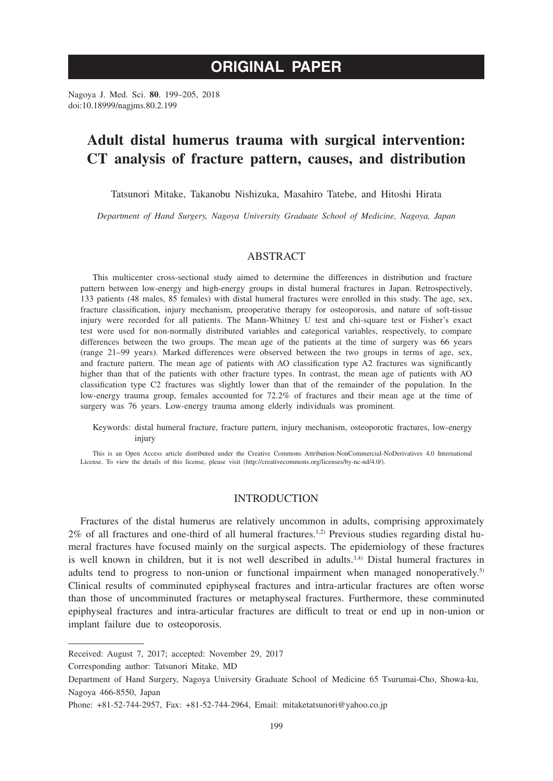# **ORIGINAL PAPER**

Nagoya J. Med. Sci. **80**. 199–205, 2018 doi:10.18999/nagjms.80.2.199

# **Adult distal humerus trauma with surgical intervention: CT analysis of fracture pattern, causes, and distribution**

Tatsunori Mitake, Takanobu Nishizuka, Masahiro Tatebe, and Hitoshi Hirata

*Department of Hand Surgery, Nagoya University Graduate School of Medicine, Nagoya, Japan*

# ABSTRACT

This multicenter cross-sectional study aimed to determine the differences in distribution and fracture pattern between low-energy and high-energy groups in distal humeral fractures in Japan. Retrospectively, 133 patients (48 males, 85 females) with distal humeral fractures were enrolled in this study. The age, sex, fracture classification, injury mechanism, preoperative therapy for osteoporosis, and nature of soft-tissue injury were recorded for all patients. The Mann-Whitney U test and chi-square test or Fisher's exact test were used for non-normally distributed variables and categorical variables, respectively, to compare differences between the two groups. The mean age of the patients at the time of surgery was 66 years (range 21–99 years). Marked differences were observed between the two groups in terms of age, sex, and fracture pattern. The mean age of patients with AO classification type A2 fractures was significantly higher than that of the patients with other fracture types. In contrast, the mean age of patients with AO classification type C2 fractures was slightly lower than that of the remainder of the population. In the low-energy trauma group, females accounted for 72.2% of fractures and their mean age at the time of surgery was 76 years. Low-energy trauma among elderly individuals was prominent.

Keywords: distal humeral fracture, fracture pattern, injury mechanism, osteoporotic fractures, low-energy injury

This is an Open Access article distributed under the Creative Commons Attribution-NonCommercial-NoDerivatives 4.0 International License. To view the details of this license, please visit (http://creativecommons.org/licenses/by-nc-nd/4.0/).

# INTRODUCTION

Fractures of the distal humerus are relatively uncommon in adults, comprising approximately  $2\%$  of all fractures and one-third of all humeral fractures.<sup>1,2)</sup> Previous studies regarding distal humeral fractures have focused mainly on the surgical aspects. The epidemiology of these fractures is well known in children, but it is not well described in adults.3,4) Distal humeral fractures in adults tend to progress to non-union or functional impairment when managed nonoperatively.<sup>5)</sup> Clinical results of comminuted epiphyseal fractures and intra-articular fractures are often worse than those of uncomminuted fractures or metaphyseal fractures. Furthermore, these comminuted epiphyseal fractures and intra-articular fractures are difficult to treat or end up in non-union or implant failure due to osteoporosis.

Corresponding author: Tatsunori Mitake, MD

Received: August 7, 2017; accepted: November 29, 2017

Department of Hand Surgery, Nagoya University Graduate School of Medicine 65 Tsurumai-Cho, Showa-ku, Nagoya 466-8550, Japan

Phone: +81-52-744-2957, Fax: +81-52-744-2964, Email: mitaketatsunori@yahoo.co.jp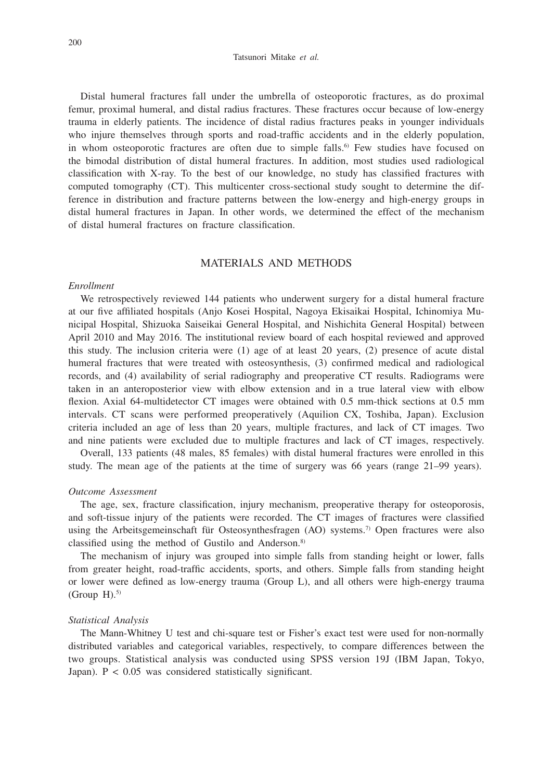#### Tatsunori Mitake *et al.*

Distal humeral fractures fall under the umbrella of osteoporotic fractures, as do proximal femur, proximal humeral, and distal radius fractures. These fractures occur because of low-energy trauma in elderly patients. The incidence of distal radius fractures peaks in younger individuals who injure themselves through sports and road-traffic accidents and in the elderly population, in whom osteoporotic fractures are often due to simple falls.<sup>6)</sup> Few studies have focused on the bimodal distribution of distal humeral fractures. In addition, most studies used radiological classification with X-ray. To the best of our knowledge, no study has classified fractures with computed tomography (CT). This multicenter cross-sectional study sought to determine the difference in distribution and fracture patterns between the low-energy and high-energy groups in distal humeral fractures in Japan. In other words, we determined the effect of the mechanism of distal humeral fractures on fracture classification.

## MATERIALS AND METHODS

#### *Enrollment*

We retrospectively reviewed 144 patients who underwent surgery for a distal humeral fracture at our five affiliated hospitals (Anjo Kosei Hospital, Nagoya Ekisaikai Hospital, Ichinomiya Municipal Hospital, Shizuoka Saiseikai General Hospital, and Nishichita General Hospital) between April 2010 and May 2016. The institutional review board of each hospital reviewed and approved this study. The inclusion criteria were (1) age of at least 20 years, (2) presence of acute distal humeral fractures that were treated with osteosynthesis, (3) confirmed medical and radiological records, and (4) availability of serial radiography and preoperative CT results. Radiograms were taken in an anteroposterior view with elbow extension and in a true lateral view with elbow flexion. Axial 64-multidetector CT images were obtained with 0.5 mm-thick sections at 0.5 mm intervals. CT scans were performed preoperatively (Aquilion CX, Toshiba, Japan). Exclusion criteria included an age of less than 20 years, multiple fractures, and lack of CT images. Two and nine patients were excluded due to multiple fractures and lack of CT images, respectively.

Overall, 133 patients (48 males, 85 females) with distal humeral fractures were enrolled in this study. The mean age of the patients at the time of surgery was 66 years (range 21–99 years).

### *Outcome Assessment*

The age, sex, fracture classification, injury mechanism, preoperative therapy for osteoporosis, and soft-tissue injury of the patients were recorded. The CT images of fractures were classified using the Arbeitsgemeinschaft für Osteosynthesfragen (AO) systems.<sup>7)</sup> Open fractures were also classified using the method of Gustilo and Anderson.<sup>8)</sup>

The mechanism of injury was grouped into simple falls from standing height or lower, falls from greater height, road-traffic accidents, sports, and others. Simple falls from standing height or lower were defined as low-energy trauma (Group L), and all others were high-energy trauma (Group  $H$ ).<sup>5)</sup>

#### *Statistical Analysis*

The Mann-Whitney U test and chi-square test or Fisher's exact test were used for non-normally distributed variables and categorical variables, respectively, to compare differences between the two groups. Statistical analysis was conducted using SPSS version 19J (IBM Japan, Tokyo, Japan). P < 0.05 was considered statistically significant.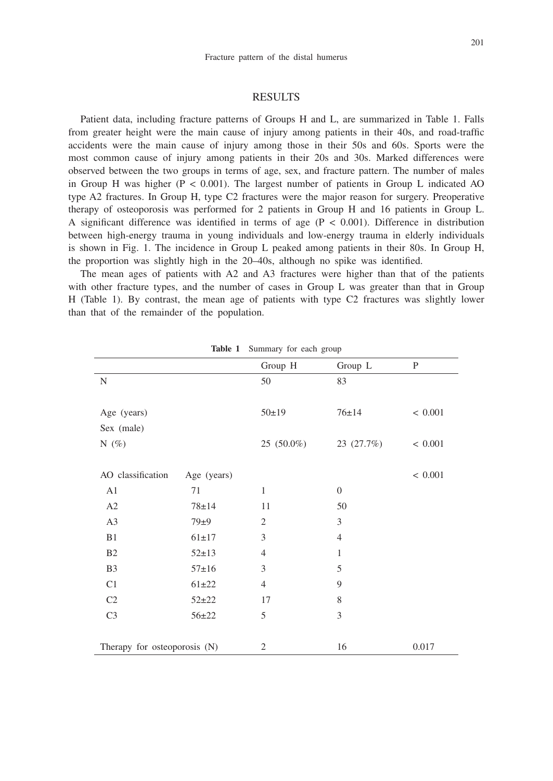## RESULTS

Patient data, including fracture patterns of Groups H and L, are summarized in Table 1. Falls from greater height were the main cause of injury among patients in their 40s, and road-traffic accidents were the main cause of injury among those in their 50s and 60s. Sports were the most common cause of injury among patients in their 20s and 30s. Marked differences were observed between the two groups in terms of age, sex, and fracture pattern. The number of males in Group H was higher  $(P < 0.001)$ . The largest number of patients in Group L indicated AO type A2 fractures. In Group H, type C2 fractures were the major reason for surgery. Preoperative therapy of osteoporosis was performed for 2 patients in Group H and 16 patients in Group L. A significant difference was identified in terms of age  $(P < 0.001)$ . Difference in distribution between high-energy trauma in young individuals and low-energy trauma in elderly individuals is shown in Fig. 1. The incidence in Group L peaked among patients in their 80s. In Group H, the proportion was slightly high in the 20–40s, although no spike was identified.

The mean ages of patients with A2 and A3 fractures were higher than that of the patients with other fracture types, and the number of cases in Group L was greater than that in Group H (Table 1). By contrast, the mean age of patients with type C2 fractures was slightly lower than that of the remainder of the population.

| <b>Rapid 1</b> building for each group |             |                             |                  |              |  |  |  |
|----------------------------------------|-------------|-----------------------------|------------------|--------------|--|--|--|
|                                        |             | Group H                     | Group L          | $\mathbf{P}$ |  |  |  |
| $\mathbf N$                            |             | 50                          | 83               |              |  |  |  |
|                                        |             |                             |                  |              |  |  |  |
| Age (years)                            |             | 50±19                       | $76 \pm 14$      | < 0.001      |  |  |  |
| Sex (male)                             |             |                             |                  |              |  |  |  |
| N $(\%)$                               |             | 25 (50.0%)                  | 23 (27.7%)       | < 0.001      |  |  |  |
|                                        |             |                             |                  |              |  |  |  |
| AO classification                      | Age (years) |                             |                  | < 0.001      |  |  |  |
| A1                                     | 71          | $\mathbf{1}$                | $\boldsymbol{0}$ |              |  |  |  |
| A2                                     | $78 + 14$   | 11                          | 50               |              |  |  |  |
| A <sub>3</sub>                         | 79±9        | $\mathfrak{2}$              | $\mathfrak{Z}$   |              |  |  |  |
| B1                                     | $61 \pm 17$ | 3                           | $\overline{4}$   |              |  |  |  |
| B <sub>2</sub>                         | $52 \pm 13$ | $\overline{4}$              | $\mathbf{1}$     |              |  |  |  |
| B <sub>3</sub>                         | $57 \pm 16$ | $\ensuremath{\mathfrak{Z}}$ | 5                |              |  |  |  |
| C1                                     | $61 + 22$   | $\overline{4}$              | 9                |              |  |  |  |
| C <sub>2</sub>                         | $52 + 22$   | 17                          | $\,$ 8 $\,$      |              |  |  |  |
| C <sub>3</sub>                         | $56 + 22$   | 5                           | 3                |              |  |  |  |
|                                        |             |                             |                  |              |  |  |  |
| Therapy for osteoporosis (N)           |             | 2                           | 16               | 0.017        |  |  |  |

Table 1 Summary for each group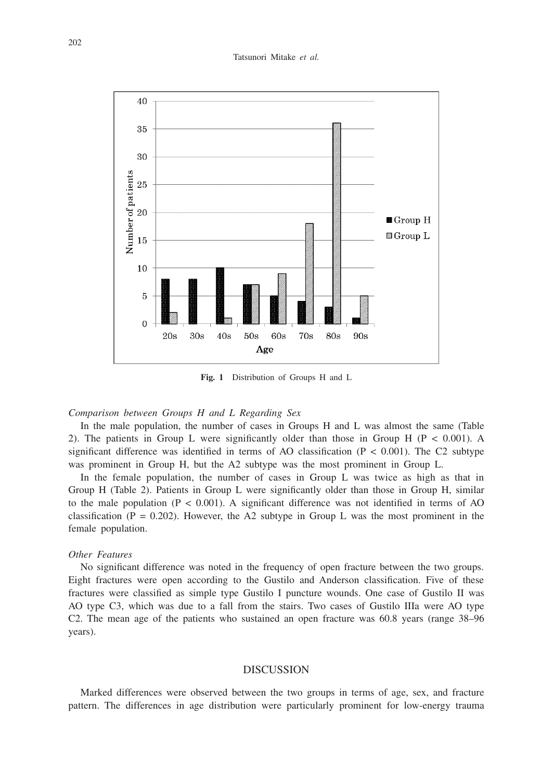#### Tatsunori Mitake *et al.*



**Fig. 1** Distribution of Groups H and L

## *Comparison between Groups H and L Regarding Sex*

In the male population, the number of cases in Groups H and L was almost the same (Table 2). The patients in Group L were significantly older than those in Group H ( $P < 0.001$ ). A significant difference was identified in terms of AO classification ( $P < 0.001$ ). The C2 subtype was prominent in Group H, but the A2 subtype was the most prominent in Group L.

In the female population, the number of cases in Group L was twice as high as that in Group H (Table 2). Patients in Group L were significantly older than those in Group H, similar to the male population  $(P < 0.001)$ . A significant difference was not identified in terms of AO classification ( $P = 0.202$ ). However, the A2 subtype in Group L was the most prominent in the female population.

#### *Other Features*

No significant difference was noted in the frequency of open fracture between the two groups. Eight fractures were open according to the Gustilo and Anderson classification. Five of these fractures were classified as simple type Gustilo I puncture wounds. One case of Gustilo II was AO type C3, which was due to a fall from the stairs. Two cases of Gustilo IIIa were AO type C2. The mean age of the patients who sustained an open fracture was 60.8 years (range 38–96 years).

## **DISCUSSION**

Marked differences were observed between the two groups in terms of age, sex, and fracture pattern. The differences in age distribution were particularly prominent for low-energy trauma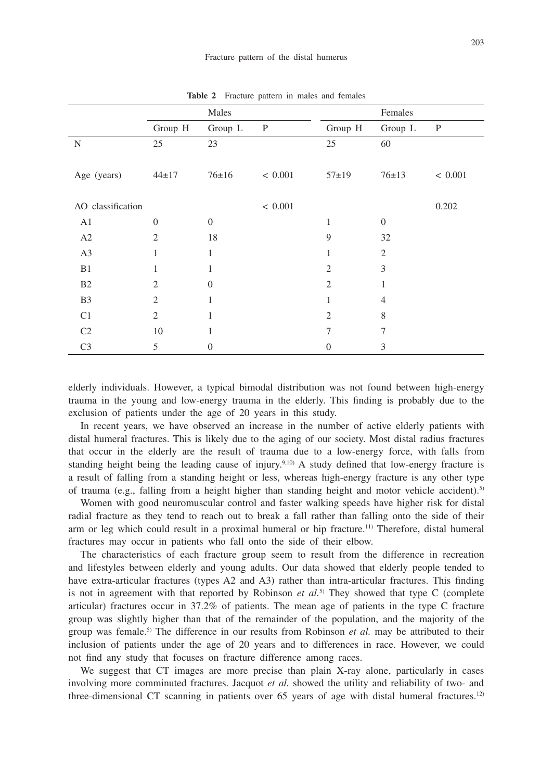|                   |                | Males          |              | Females        |                  |              |
|-------------------|----------------|----------------|--------------|----------------|------------------|--------------|
|                   | Group H        | Group L        | $\mathbf{P}$ | Group H        | Group L          | $\mathbf{P}$ |
| $\mathbf N$       | 25             | 23             |              | 25             | 60               |              |
|                   |                |                |              |                |                  |              |
| Age (years)       | $44 \pm 17$    | 76±16          | < 0.001      | $57+19$        | 76±13            | < 0.001      |
|                   |                |                |              |                |                  |              |
| AO classification |                |                | < 0.001      |                |                  | 0.202        |
| A1                | $\theta$       | $\theta$       |              | 1              | $\boldsymbol{0}$ |              |
| A2                | $\overline{2}$ | 18             |              | 9              | 32               |              |
| A3                | 1              | $\mathbf{1}$   |              | 1              | $\overline{2}$   |              |
| B1                | 1              | 1              |              | $\overline{2}$ | 3                |              |
| B <sub>2</sub>    | $\overline{2}$ | $\theta$       |              | $\overline{2}$ | $\mathbf{1}$     |              |
| B <sub>3</sub>    | 2              | 1              |              | 1              | $\overline{4}$   |              |
| C <sub>1</sub>    | $\overline{2}$ | 1              |              | $\overline{2}$ | 8                |              |
| C <sub>2</sub>    | 10             | 1              |              | $\overline{7}$ | 7                |              |
| C <sub>3</sub>    | 5              | $\overline{0}$ |              | $\overline{0}$ | 3                |              |

**Table 2** Fracture pattern in males and females

elderly individuals. However, a typical bimodal distribution was not found between high-energy trauma in the young and low-energy trauma in the elderly. This finding is probably due to the exclusion of patients under the age of 20 years in this study.

In recent years, we have observed an increase in the number of active elderly patients with distal humeral fractures. This is likely due to the aging of our society. Most distal radius fractures that occur in the elderly are the result of trauma due to a low-energy force, with falls from standing height being the leading cause of injury.<sup>9,10)</sup> A study defined that low-energy fracture is a result of falling from a standing height or less, whereas high-energy fracture is any other type of trauma (e.g., falling from a height higher than standing height and motor vehicle accident).<sup>5)</sup>

Women with good neuromuscular control and faster walking speeds have higher risk for distal radial fracture as they tend to reach out to break a fall rather than falling onto the side of their arm or leg which could result in a proximal humeral or hip fracture.11) Therefore, distal humeral fractures may occur in patients who fall onto the side of their elbow.

The characteristics of each fracture group seem to result from the difference in recreation and lifestyles between elderly and young adults. Our data showed that elderly people tended to have extra-articular fractures (types A2 and A3) rather than intra-articular fractures. This finding is not in agreement with that reported by Robinson *et al.*5) They showed that type C (complete articular) fractures occur in 37.2% of patients. The mean age of patients in the type C fracture group was slightly higher than that of the remainder of the population, and the majority of the group was female.5) The difference in our results from Robinson *et al.* may be attributed to their inclusion of patients under the age of 20 years and to differences in race. However, we could not find any study that focuses on fracture difference among races.

We suggest that CT images are more precise than plain X-ray alone, particularly in cases involving more comminuted fractures. Jacquot *et al.* showed the utility and reliability of two- and three-dimensional CT scanning in patients over 65 years of age with distal humeral fractures.12)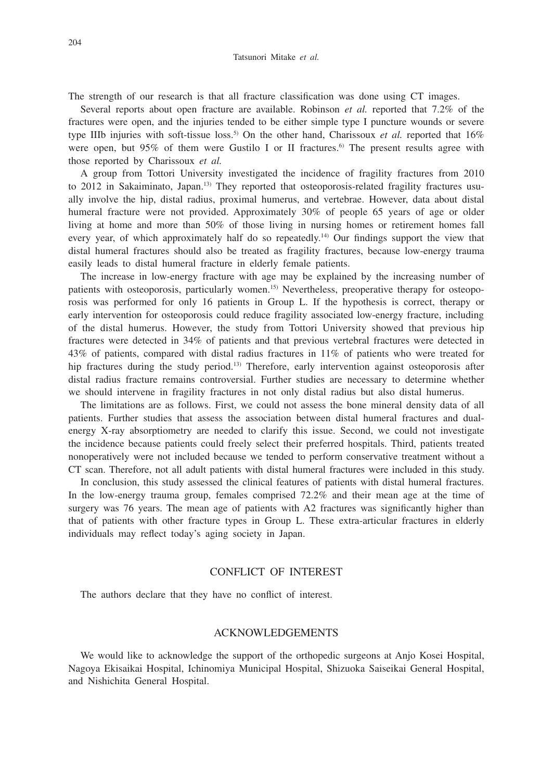The strength of our research is that all fracture classification was done using CT images.

Several reports about open fracture are available. Robinson *et al.* reported that 7.2% of the fractures were open, and the injuries tended to be either simple type I puncture wounds or severe type IIIb injuries with soft-tissue loss.<sup>5)</sup> On the other hand, Charissoux *et al.* reported that  $16\%$ were open, but 95% of them were Gustilo I or II fractures.<sup>6)</sup> The present results agree with those reported by Charissoux *et al.*

A group from Tottori University investigated the incidence of fragility fractures from 2010 to 2012 in Sakaiminato, Japan.<sup>13)</sup> They reported that osteoporosis-related fragility fractures usually involve the hip, distal radius, proximal humerus, and vertebrae. However, data about distal humeral fracture were not provided. Approximately 30% of people 65 years of age or older living at home and more than 50% of those living in nursing homes or retirement homes fall every year, of which approximately half do so repeatedly.14) Our findings support the view that distal humeral fractures should also be treated as fragility fractures, because low-energy trauma easily leads to distal humeral fracture in elderly female patients.

The increase in low-energy fracture with age may be explained by the increasing number of patients with osteoporosis, particularly women.<sup>15)</sup> Nevertheless, preoperative therapy for osteoporosis was performed for only 16 patients in Group L. If the hypothesis is correct, therapy or early intervention for osteoporosis could reduce fragility associated low-energy fracture, including of the distal humerus. However, the study from Tottori University showed that previous hip fractures were detected in 34% of patients and that previous vertebral fractures were detected in 43% of patients, compared with distal radius fractures in 11% of patients who were treated for hip fractures during the study period.<sup>13)</sup> Therefore, early intervention against osteoporosis after distal radius fracture remains controversial. Further studies are necessary to determine whether we should intervene in fragility fractures in not only distal radius but also distal humerus.

The limitations are as follows. First, we could not assess the bone mineral density data of all patients. Further studies that assess the association between distal humeral fractures and dualenergy X-ray absorptiometry are needed to clarify this issue. Second, we could not investigate the incidence because patients could freely select their preferred hospitals. Third, patients treated nonoperatively were not included because we tended to perform conservative treatment without a CT scan. Therefore, not all adult patients with distal humeral fractures were included in this study.

In conclusion, this study assessed the clinical features of patients with distal humeral fractures. In the low-energy trauma group, females comprised 72.2% and their mean age at the time of surgery was 76 years. The mean age of patients with A2 fractures was significantly higher than that of patients with other fracture types in Group L. These extra-articular fractures in elderly individuals may reflect today's aging society in Japan.

# CONFLICT OF INTEREST

The authors declare that they have no conflict of interest.

# ACKNOWLEDGEMENTS

We would like to acknowledge the support of the orthopedic surgeons at Anjo Kosei Hospital, Nagoya Ekisaikai Hospital, Ichinomiya Municipal Hospital, Shizuoka Saiseikai General Hospital, and Nishichita General Hospital.